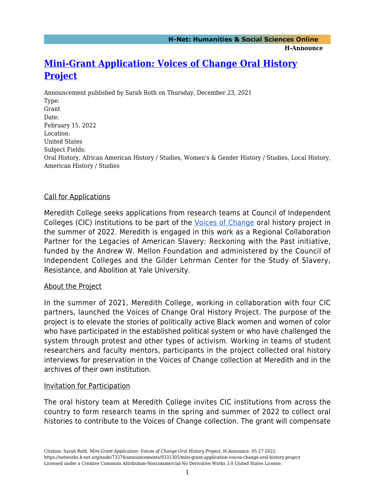# **[Mini-Grant Application: Voices of Change Oral History](https://networks.h-net.org/node/73374/announcements/9331305/mini-grant-application-voices-change-oral-history-project) [Project](https://networks.h-net.org/node/73374/announcements/9331305/mini-grant-application-voices-change-oral-history-project)**

Announcement published by Sarah Roth on Thursday, December 23, 2021 Type: Grant Date: February 15, 2022 Location: United States Subject Fields: Oral History, African American History / Studies, Women's & Gender History / Studies, Local History, American History / Studies

## Call for Applications

Meredith College seeks applications from research teams at Council of Independent Colleges (CIC) institutions to be part of the [Voices of Change](https://ourvoicesofchange.org/?page_id=24) oral history project in the summer of 2022. Meredith is engaged in this work as a Regional Collaboration Partner for the Legacies of American Slavery: Reckoning with the Past initiative, funded by the Andrew W. Mellon Foundation and administered by the Council of Independent Colleges and the Gilder Lehrman Center for the Study of Slavery, Resistance, and Abolition at Yale University.

### About the Project

In the summer of 2021, Meredith College, working in collaboration with four CIC partners, launched the Voices of Change Oral History Project. The purpose of the project is to elevate the stories of politically active Black women and women of color who have participated in the established political system or who have challenged the system through protest and other types of activism. Working in teams of student researchers and faculty mentors, participants in the project collected oral history interviews for preservation in the Voices of Change collection at Meredith and in the archives of their own institution.

### Invitation for Participation

The oral history team at Meredith College invites CIC institutions from across the country to form research teams in the spring and summer of 2022 to collect oral histories to contribute to the Voices of Change collection. The grant will compensate